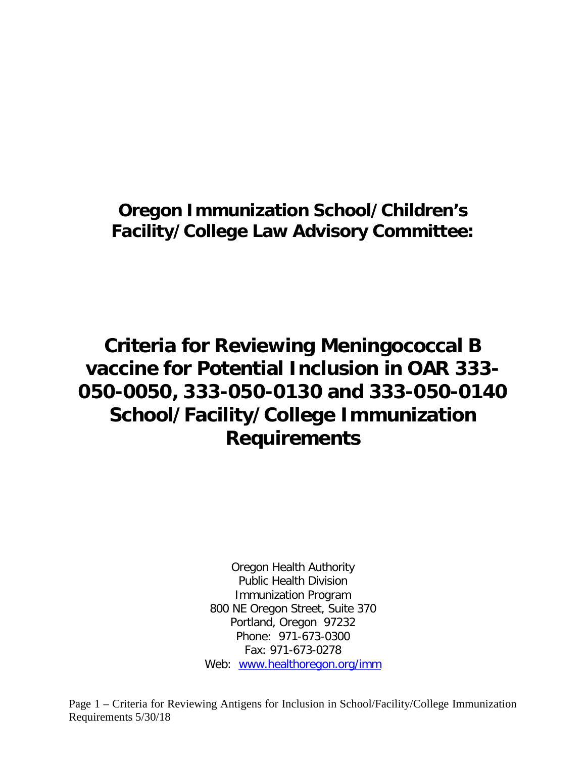# **Oregon Immunization School/Children's Facility/College Law Advisory Committee:**

# **Criteria for Reviewing Meningococcal B vaccine for Potential Inclusion in OAR 333- 050-0050, 333-050-0130 and 333-050-0140 School/Facility/College Immunization Requirements**

Oregon Health Authority Public Health Division Immunization Program 800 NE Oregon Street, Suite 370 Portland, Oregon 97232 Phone: 971-673-0300 Fax: 971-673-0278 Web: [www.healthoregon.org/imm](http://www.healthoregon.org/imm)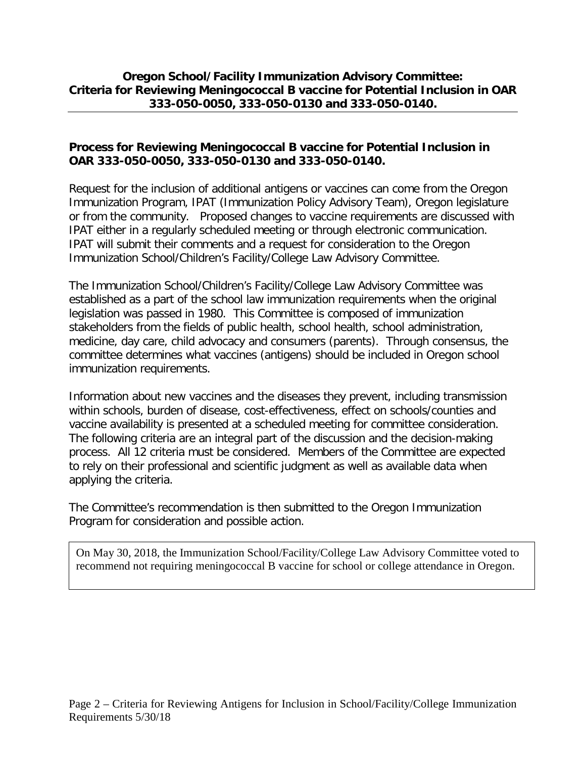#### **Oregon School/Facility Immunization Advisory Committee: Criteria for Reviewing Meningococcal B vaccine for Potential Inclusion in OAR 333-050-0050, 333-050-0130 and 333-050-0140.**

#### **Process for Reviewing Meningococcal B vaccine for Potential Inclusion in OAR 333-050-0050, 333-050-0130 and 333-050-0140.**

Request for the inclusion of additional antigens or vaccines can come from the Oregon Immunization Program, IPAT (Immunization Policy Advisory Team), Oregon legislature or from the community. Proposed changes to vaccine requirements are discussed with IPAT either in a regularly scheduled meeting or through electronic communication. IPAT will submit their comments and a request for consideration to the Oregon Immunization School/Children's Facility/College Law Advisory Committee.

The Immunization School/Children's Facility/College Law Advisory Committee was established as a part of the school law immunization requirements when the original legislation was passed in 1980. This Committee is composed of immunization stakeholders from the fields of public health, school health, school administration, medicine, day care, child advocacy and consumers (parents). Through consensus, the committee determines what vaccines (antigens) should be included in Oregon school immunization requirements.

Information about new vaccines and the diseases they prevent, including transmission within schools, burden of disease, cost-effectiveness, effect on schools/counties and vaccine availability is presented at a scheduled meeting for committee consideration. The following criteria are an integral part of the discussion and the decision-making process. All 12 criteria must be considered. Members of the Committee are expected to rely on their professional and scientific judgment as well as available data when applying the criteria.

The Committee's recommendation is then submitted to the Oregon Immunization Program for consideration and possible action.

On May 30, 2018, the Immunization School/Facility/College Law Advisory Committee voted to recommend not requiring meningococcal B vaccine for school or college attendance in Oregon.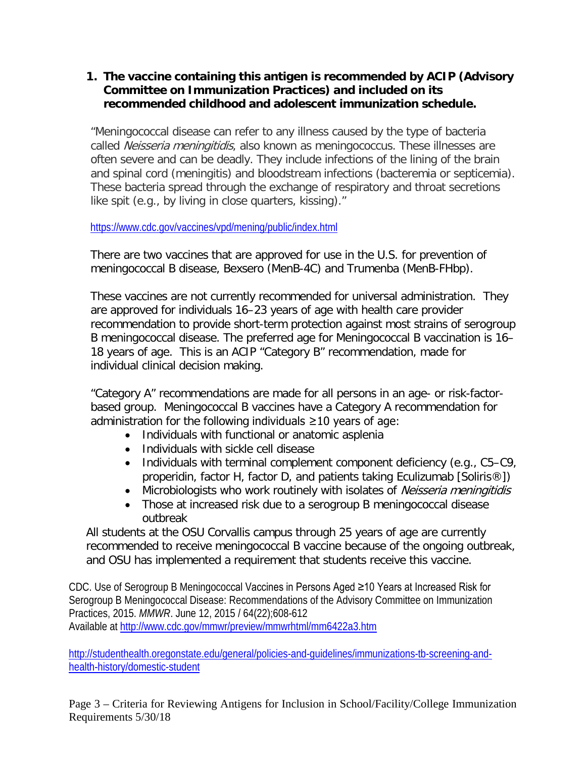#### **1. The vaccine containing this antigen is recommended by ACIP (Advisory Committee on Immunization Practices) and included on its recommended childhood and adolescent immunization schedule.**

"Meningococcal disease can refer to any illness caused by the type of bacteria called Neisseria meningitidis, also known as meningococcus. These illnesses are often severe and can be deadly. They include infections of the lining of the brain and spinal cord (meningitis) and bloodstream infections (bacteremia or septicemia). These bacteria spread through the exchange of respiratory and throat secretions like spit (e.g., by living in close quarters, kissing)."

<https://www.cdc.gov/vaccines/vpd/mening/public/index.html>

There are two vaccines that are approved for use in the U.S. for prevention of meningococcal B disease, Bexsero (MenB-4C) and Trumenba (MenB-FHbp).

These vaccines are not currently recommended for universal administration. They are approved for individuals 16–23 years of age with health care provider recommendation to provide short-term protection against most strains of serogroup B meningococcal disease. The preferred age for Meningococcal B vaccination is 16– 18 years of age. This is an ACIP "Category B" recommendation, made for individual clinical decision making.

"Category A" recommendations are made for all persons in an age- or risk-factorbased group. Meningococcal B vaccines have a Category A recommendation for administration for the following individuals ≥10 years of age:

- Individuals with functional or anatomic asplenia
- Individuals with sickle cell disease
- Individuals with terminal complement component deficiency (e.g., C5–C9, properidin, factor H, factor D, and patients taking Eculizumab [Soliris®])
- Microbiologists who work routinely with isolates of Neisseria meningitidis
- Those at increased risk due to a serogroup B meningococcal disease outbreak

All students at the OSU Corvallis campus through 25 years of age are currently recommended to receive meningococcal B vaccine because of the ongoing outbreak, and OSU has implemented a requirement that students receive this vaccine.

CDC. Use of Serogroup B Meningococcal Vaccines in Persons Aged ≥10 Years at Increased Risk for Serogroup B Meningococcal Disease: Recommendations of the Advisory Committee on Immunization Practices, 2015. *MMWR*. June 12, 2015 / 64(22);608-612 Available at<http://www.cdc.gov/mmwr/preview/mmwrhtml/mm6422a3.htm>

[http://studenthealth.oregonstate.edu/general/policies-and-guidelines/immunizations-tb-screening-and](http://studenthealth.oregonstate.edu/general/policies-and-guidelines/immunizations-tb-screening-and-health-history/domestic-student)[health-history/domestic-student](http://studenthealth.oregonstate.edu/general/policies-and-guidelines/immunizations-tb-screening-and-health-history/domestic-student)

Page 3 – Criteria for Reviewing Antigens for Inclusion in School/Facility/College Immunization Requirements 5/30/18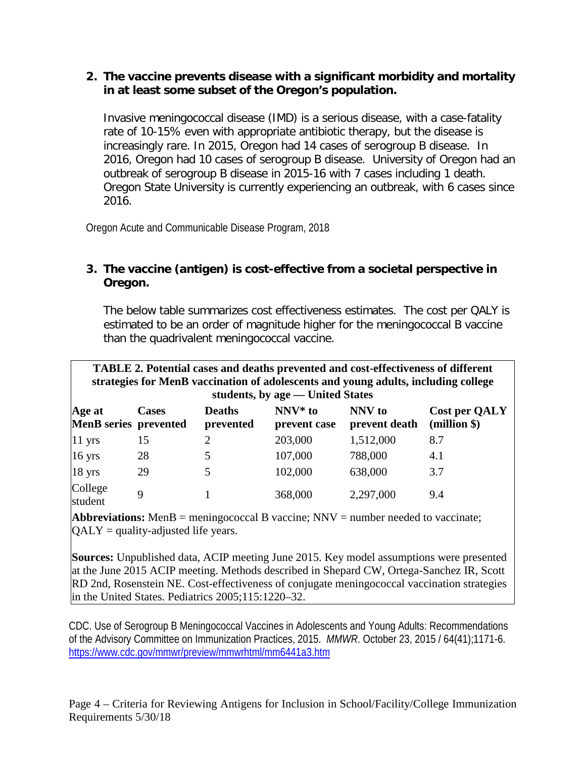#### **2. The vaccine prevents disease with a significant morbidity and mortality in at least some subset of the Oregon's population.**

Invasive meningococcal disease (IMD) is a serious disease, with a case-fatality rate of 10-15% even with appropriate antibiotic therapy, but the disease is increasingly rare. In 2015, Oregon had 14 cases of serogroup B disease. In 2016, Oregon had 10 cases of serogroup B disease. University of Oregon had an outbreak of serogroup B disease in 2015-16 with 7 cases including 1 death. Oregon State University is currently experiencing an outbreak, with 6 cases since 2016.

Oregon Acute and Communicable Disease Program, 2018

# **3. The vaccine (antigen) is cost-effective from a societal perspective in Oregon.**

The below table summarizes cost effectiveness estimates. The cost per QALY is estimated to be an order of magnitude higher for the meningococcal B vaccine than the quadrivalent meningococcal vaccine.

| <b>TABLE 2. Potential cases and deaths prevented and cost-effectiveness of different</b><br>strategies for MenB vaccination of adolescents and young adults, including college<br>students, by age — United States |              |                            |                           |                         |                               |
|--------------------------------------------------------------------------------------------------------------------------------------------------------------------------------------------------------------------|--------------|----------------------------|---------------------------|-------------------------|-------------------------------|
| Age at<br>MenB series prevented                                                                                                                                                                                    | <b>Cases</b> | <b>Deaths</b><br>prevented | $NNV*$ to<br>prevent case | NNV to<br>prevent death | Cost per QALY<br>$(million \$ |
| 11 yrs                                                                                                                                                                                                             | 15           | 2                          | 203,000                   | 1,512,000               | 8.7                           |
| 16 yrs                                                                                                                                                                                                             | 28           |                            | 107,000                   | 788,000                 | 4.1                           |
| 18 yrs                                                                                                                                                                                                             | 29           | 5                          | 102,000                   | 638,000                 | 3.7                           |
| College<br>student                                                                                                                                                                                                 | $\mathbf Q$  |                            | 368,000                   | 2,297,000               | 9.4                           |

**Abbreviations:** MenB = meningococcal B vaccine; NNV = number needed to vaccinate;  $QALY =$  quality-adjusted life years.

**Sources:** Unpublished data, ACIP meeting June 2015. Key model assumptions were presented at the June 2015 ACIP meeting. Methods described in Shepard CW, Ortega-Sanchez IR, Scott RD 2nd, Rosenstein NE. Cost-effectiveness of conjugate meningococcal vaccination strategies in the United States. Pediatrics 2005;115:1220–32.

CDC. Use of Serogroup B Meningococcal Vaccines in Adolescents and Young Adults: Recommendations of the Advisory Committee on Immunization Practices, 2015. *MMWR*. October 23, 2015 / 64(41);1171-6. <https://www.cdc.gov/mmwr/preview/mmwrhtml/mm6441a3.htm>

Page 4 – Criteria for Reviewing Antigens for Inclusion in School/Facility/College Immunization Requirements 5/30/18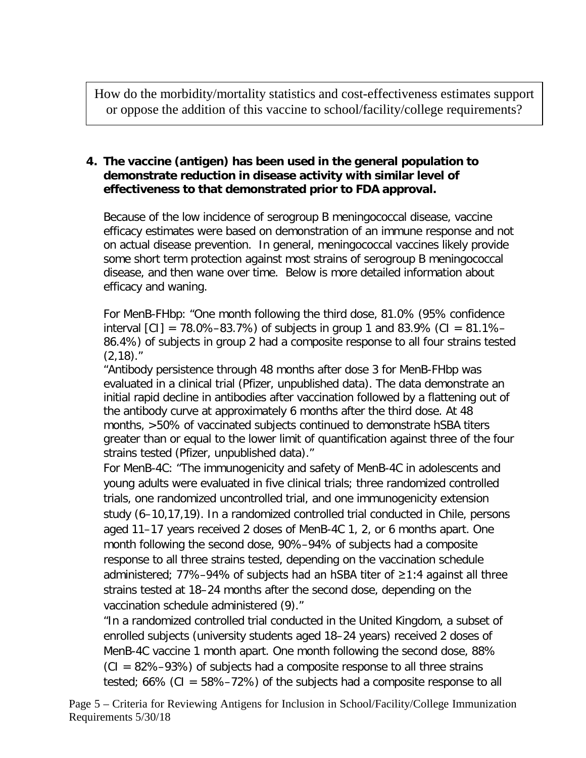How do the morbidity/mortality statistics and cost-effectiveness estimates support or oppose the addition of this vaccine to school/facility/college requirements?

# **4. The vaccine (antigen) has been used in the general population to demonstrate reduction in disease activity with similar level of effectiveness to that demonstrated prior to FDA approval.**

Because of the low incidence of serogroup B meningococcal disease, vaccine efficacy estimates were based on demonstration of an immune response and not on actual disease prevention. In general, meningococcal vaccines likely provide some short term protection against most strains of serogroup B meningococcal disease, and then wane over time. Below is more detailed information about efficacy and waning.

For MenB-FHbp: "One month following the third dose, 81.0% (95% confidence interval  $\text{[C1]} = 78.0\% - 83.7\%)$  of subjects in group 1 and 83.9% (CI = 81.1%– 86.4%) of subjects in group 2 had a composite response to all four strains tested  $(2,18)$ ."

"Antibody persistence through 48 months after dose 3 for MenB-FHbp was evaluated in a clinical trial (Pfizer, unpublished data). The data demonstrate an initial rapid decline in antibodies after vaccination followed by a flattening out of the antibody curve at approximately 6 months after the third dose. At 48 months, >50% of vaccinated subjects continued to demonstrate hSBA titers greater than or equal to the lower limit of quantification against three of the four strains tested (Pfizer, unpublished data)."

For MenB-4C: "The immunogenicity and safety of MenB-4C in adolescents and young adults were evaluated in five clinical trials; three randomized controlled trials, one randomized uncontrolled trial, and one immunogenicity extension study (6–10,17,19). In a randomized controlled trial conducted in Chile, persons aged 11–17 years received 2 doses of MenB-4C 1, 2, or 6 months apart. One month following the second dose, 90%–94% of subjects had a composite response to all three strains tested, depending on the vaccination schedule administered; 77%–94% of subjects had an hSBA titer of ≥1:4 against all three strains tested at 18–24 months after the second dose, depending on the vaccination schedule administered (9)."

"In a randomized controlled trial conducted in the United Kingdom, a subset of enrolled subjects (university students aged 18–24 years) received 2 doses of MenB-4C vaccine 1 month apart. One month following the second dose, 88%  $(CI = 82\% - 93\%)$  of subjects had a composite response to all three strains tested; 66% (CI = 58%–72%) of the subjects had a composite response to all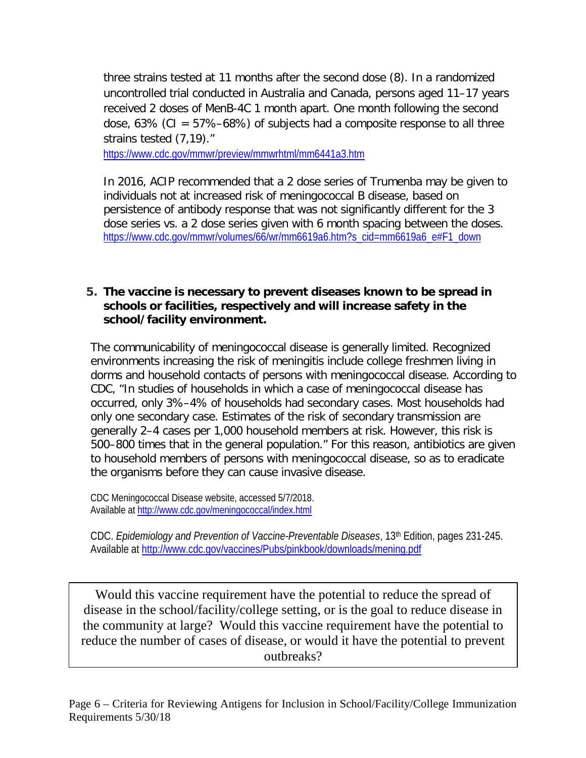three strains tested at 11 months after the second dose (8). In a randomized uncontrolled trial conducted in Australia and Canada, persons aged 11–17 years received 2 doses of MenB-4C 1 month apart. One month following the second dose, 63% (CI =  $57\% - 68\%$ ) of subjects had a composite response to all three strains tested (7,19)."

<https://www.cdc.gov/mmwr/preview/mmwrhtml/mm6441a3.htm>

In 2016, ACIP recommended that a 2 dose series of Trumenba may be given to individuals not at increased risk of meningococcal B disease, based on persistence of antibody response that was not significantly different for the 3 dose series vs. a 2 dose series given with 6 month spacing between the doses. [https://www.cdc.gov/mmwr/volumes/66/wr/mm6619a6.htm?s\\_cid=mm6619a6\\_e#F1\\_down](https://www.cdc.gov/mmwr/volumes/66/wr/mm6619a6.htm?s_cid=mm6619a6_e#F1_down)

#### **5. The vaccine is necessary to prevent diseases known to be spread in schools or facilities, respectively and will increase safety in the school/facility environment.**

The communicability of meningococcal disease is generally limited. Recognized environments increasing the risk of meningitis include college freshmen living in dorms and household contacts of persons with meningococcal disease. According to CDC, "In studies of households in which a case of meningococcal disease has occurred, only 3%–4% of households had secondary cases. Most households had only one secondary case. Estimates of the risk of secondary transmission are generally 2–4 cases per 1,000 household members at risk. However, this risk is 500–800 times that in the general population." For this reason, antibiotics are given to household members of persons with meningococcal disease, so as to eradicate the organisms before they can cause invasive disease.

CDC Meningococcal Disease website, accessed 5/7/2018. Available a[t http://www.cdc.gov/meningococcal/index.html](http://www.cdc.gov/meningococcal/index.html)

CDC. *Epidemiology and Prevention of Vaccine-Preventable Diseases*, 13th Edition, pages 231-245. Available at<http://www.cdc.gov/vaccines/Pubs/pinkbook/downloads/mening.pdf>

Would this vaccine requirement have the potential to reduce the spread of disease in the school/facility/college setting, or is the goal to reduce disease in the community at large? Would this vaccine requirement have the potential to reduce the number of cases of disease, or would it have the potential to prevent outbreaks?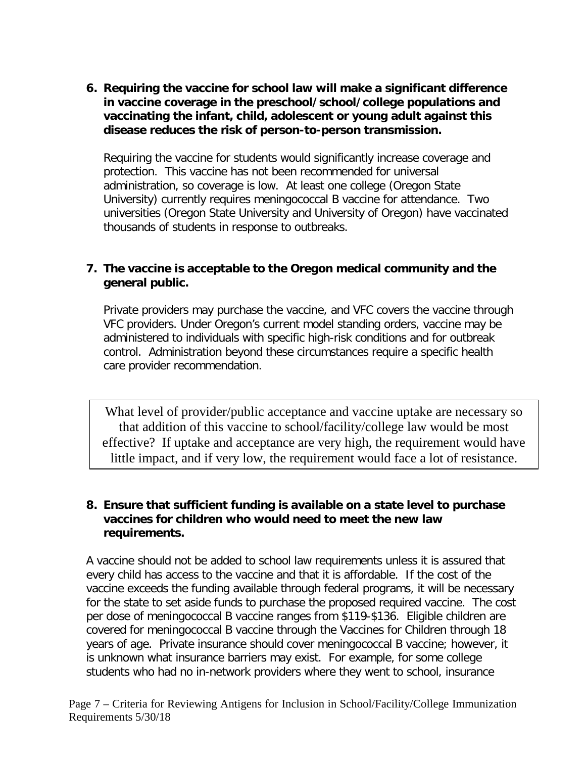**6. Requiring the vaccine for school law will make a significant difference in vaccine coverage in the preschool/school/college populations and vaccinating the infant, child, adolescent or young adult against this disease reduces the risk of person-to-person transmission.** 

Requiring the vaccine for students would significantly increase coverage and protection. This vaccine has not been recommended for universal administration, so coverage is low. At least one college (Oregon State University) currently requires meningococcal B vaccine for attendance. Two universities (Oregon State University and University of Oregon) have vaccinated thousands of students in response to outbreaks.

#### **7. The vaccine is acceptable to the Oregon medical community and the general public.**

Private providers may purchase the vaccine, and VFC covers the vaccine through VFC providers. Under Oregon's current model standing orders, vaccine may be administered to individuals with specific high-risk conditions and for outbreak control. Administration beyond these circumstances require a specific health care provider recommendation.

What level of provider/public acceptance and vaccine uptake are necessary so that addition of this vaccine to school/facility/college law would be most effective? If uptake and acceptance are very high, the requirement would have little impact, and if very low, the requirement would face a lot of resistance.

#### **8. Ensure that sufficient funding is available on a state level to purchase vaccines for children who would need to meet the new law requirements.**

A vaccine should not be added to school law requirements unless it is assured that every child has access to the vaccine and that it is affordable. If the cost of the vaccine exceeds the funding available through federal programs, it will be necessary for the state to set aside funds to purchase the proposed required vaccine. The cost per dose of meningococcal B vaccine ranges from \$119-\$136. Eligible children are covered for meningococcal B vaccine through the Vaccines for Children through 18 years of age. Private insurance should cover meningococcal B vaccine; however, it is unknown what insurance barriers may exist. For example, for some college students who had no in-network providers where they went to school, insurance

Page 7 – Criteria for Reviewing Antigens for Inclusion in School/Facility/College Immunization Requirements 5/30/18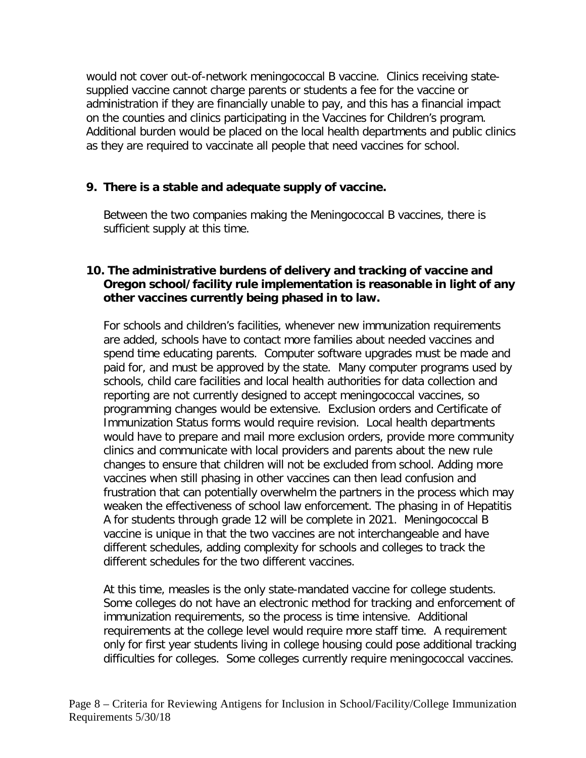would not cover out-of-network meningococcal B vaccine. Clinics receiving statesupplied vaccine cannot charge parents or students a fee for the vaccine or administration if they are financially unable to pay, and this has a financial impact on the counties and clinics participating in the Vaccines for Children's program. Additional burden would be placed on the local health departments and public clinics as they are required to vaccinate all people that need vaccines for school.

# **9. There is a stable and adequate supply of vaccine.**

Between the two companies making the Meningococcal B vaccines, there is sufficient supply at this time.

#### **10. The administrative burdens of delivery and tracking of vaccine and Oregon school/facility rule implementation is reasonable in light of any other vaccines currently being phased in to law.**

For schools and children's facilities, whenever new immunization requirements are added, schools have to contact more families about needed vaccines and spend time educating parents. Computer software upgrades must be made and paid for, and must be approved by the state. Many computer programs used by schools, child care facilities and local health authorities for data collection and reporting are not currently designed to accept meningococcal vaccines, so programming changes would be extensive. Exclusion orders and Certificate of Immunization Status forms would require revision. Local health departments would have to prepare and mail more exclusion orders, provide more community clinics and communicate with local providers and parents about the new rule changes to ensure that children will not be excluded from school. Adding more vaccines when still phasing in other vaccines can then lead confusion and frustration that can potentially overwhelm the partners in the process which may weaken the effectiveness of school law enforcement. The phasing in of Hepatitis A for students through grade 12 will be complete in 2021. Meningococcal B vaccine is unique in that the two vaccines are not interchangeable and have different schedules, adding complexity for schools and colleges to track the different schedules for the two different vaccines.

At this time, measles is the only state-mandated vaccine for college students. Some colleges do not have an electronic method for tracking and enforcement of immunization requirements, so the process is time intensive. Additional requirements at the college level would require more staff time. A requirement only for first year students living in college housing could pose additional tracking difficulties for colleges. Some colleges currently require meningococcal vaccines.